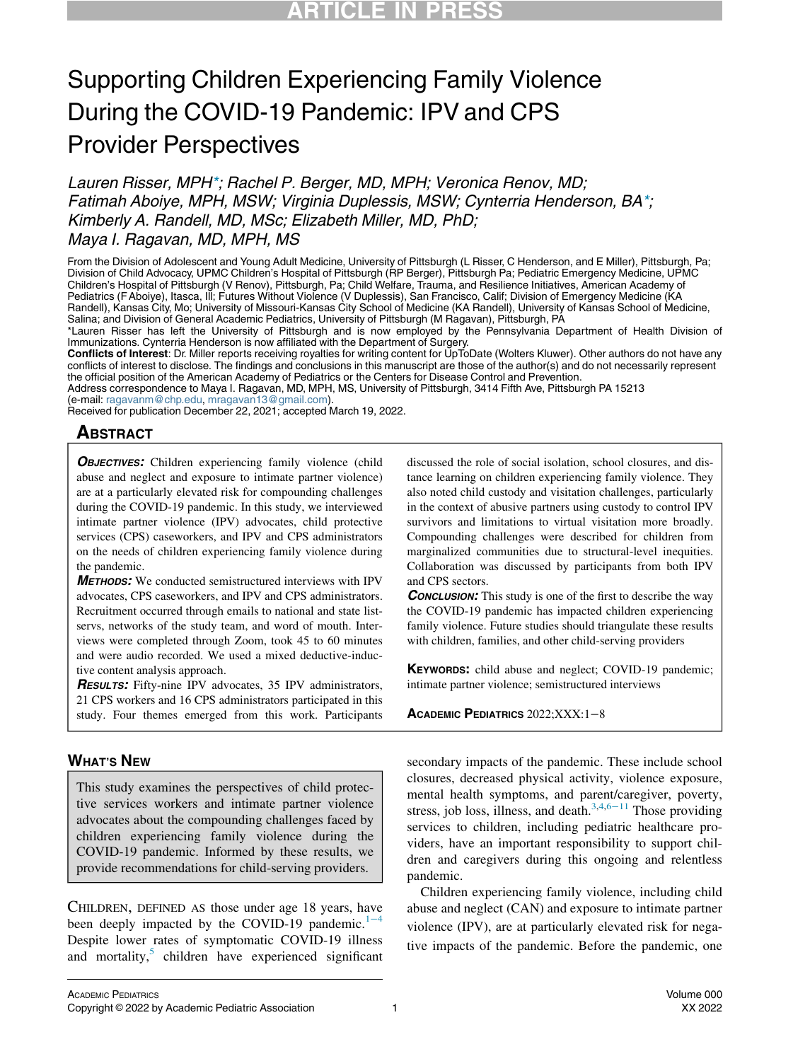# Supporting Children Experiencing Family Violence During the COVID-19 Pandemic: IPV and CPS Provider Perspectives

Lauren Risser, MP[H\\*;](#page-0-0) Rachel P. Berger, MD, MPH; Veronica Renov, MD; Fatimah Aboiye, MPH, MSW; Virginia Duplessis, MSW; Cynterria Henderson, BA[\\*](#page-0-0); Kimberly A. Randell, MD, MSc; Elizabeth Miller, MD, PhD; Maya I. Ragavan, MD, MPH, MS

From the Division of Adolescent and Young Adult Medicine, University of Pittsburgh (L Risser, C Henderson, and E Miller), Pittsburgh, Pa; Division of Child Advocacy, UPMC Children's Hospital of Pittsburgh (RP Berger), Pittsburgh Pa; Pediatric Emergency Medicine, UPMC Children's Hospital of Pittsburgh (V Renov), Pittsburgh, Pa; Child Welfare, Trauma, and Resilience Initiatives, American Academy of Pediatrics (F Aboiye), Itasca, Ill; Futures Without Violence (V Duplessis), San Francisco, Calif; Division of Emergency Medicine (KA Randell), Kansas City, Mo; University of Missouri-Kansas City School of Medicine (KA Randell), University of Kansas School of Medicine, Salina; and Division of General Academic Pediatrics, University of Pittsburgh (M Ragavan), Pittsburgh, PA

<span id="page-0-0"></span>\*Lauren Risser has left the University of Pittsburgh and is now employed by the Pennsylvania Department of Health Division of Immunizations. Cynterria Henderson is now affiliated with the Department of Surgery.

Conflicts of Interest: Dr. Miller reports receiving royalties for writing content for UpToDate (Wolters Kluwer). Other authors do not have any conflicts of interest to disclose. The findings and conclusions in this manuscript are those of the author(s) and do not necessarily represent the official position of the American Academy of Pediatrics or the Centers for Disease Control and Prevention.

Address correspondence to Maya I. Ragavan, MD, MPH, MS, University of Pittsburgh, 3414 Fifth Ave, Pittsburgh PA 15213 (e-mail: [ragavanm@chp.edu](mailto:ragavanm@chp.edu), [mragavan13@gmail.com\)](mailto:mragavan13@gmail.com).

Received for publication December 22, 2021; accepted March 19, 2022.

### **ABSTRACT**

**OBJECTIVES:** Children experiencing family violence (child abuse and neglect and exposure to intimate partner violence) are at a particularly elevated risk for compounding challenges during the COVID-19 pandemic. In this study, we interviewed intimate partner violence (IPV) advocates, child protective services (CPS) caseworkers, and IPV and CPS administrators on the needs of children experiencing family violence during the pandemic.

METHODS: We conducted semistructured interviews with IPV advocates, CPS caseworkers, and IPV and CPS administrators. Recruitment occurred through emails to national and state listservs, networks of the study team, and word of mouth. Interviews were completed through Zoom, took 45 to 60 minutes and were audio recorded. We used a mixed deductive-inductive content analysis approach.

**RESULTS:** Fifty-nine IPV advocates, 35 IPV administrators, 21 CPS workers and 16 CPS administrators participated in this study. Four themes emerged from this work. Participants

### WHAT'S NEW

This study examines the perspectives of child protective services workers and intimate partner violence advocates about the compounding challenges faced by children experiencing family violence during the COVID-19 pandemic. Informed by these results, we provide recommendations for child-serving providers.

CHILDREN, DEFINED AS those under age 18 years, have been deeply impacted by the COVID-19 pandemic.<sup>1[−](#page-6-0)4</sup> Despite lower rates of symptomatic COVID-19 illness and mortality, $5$  children have experienced significant

discussed the role of social isolation, school closures, and distance learning on children experiencing family violence. They also noted child custody and visitation challenges, particularly in the context of abusive partners using custody to control IPV survivors and limitations to virtual visitation more broadly. Compounding challenges were described for children from marginalized communities due to structural-level inequities. Collaboration was discussed by participants from both IPV and CPS sectors.

**CONCLUSION:** This study is one of the first to describe the way the COVID-19 pandemic has impacted children experiencing family violence. Future studies should triangulate these results with children, families, and other child-serving providers

KEYWORDS: child abuse and neglect; COVID-19 pandemic; intimate partner violence; semistructured interviews

#### ACADEMIC PEDIATRICS 2022;XXX:1−8

secondary impacts of the pandemic. These include school closures, decreased physical activity, violence exposure, mental health symptoms, and parent/caregiver, poverty, stress, job loss, illness, and death. $3,4,6-11$  $3,4,6-11$  $3,4,6-11$  $3,4,6-11$  Those providing services to children, including pediatric healthcare providers, have an important responsibility to support children and caregivers during this ongoing and relentless pandemic.

Children experiencing family violence, including child abuse and neglect (CAN) and exposure to intimate partner violence (IPV), are at particularly elevated risk for negative impacts of the pandemic. Before the pandemic, one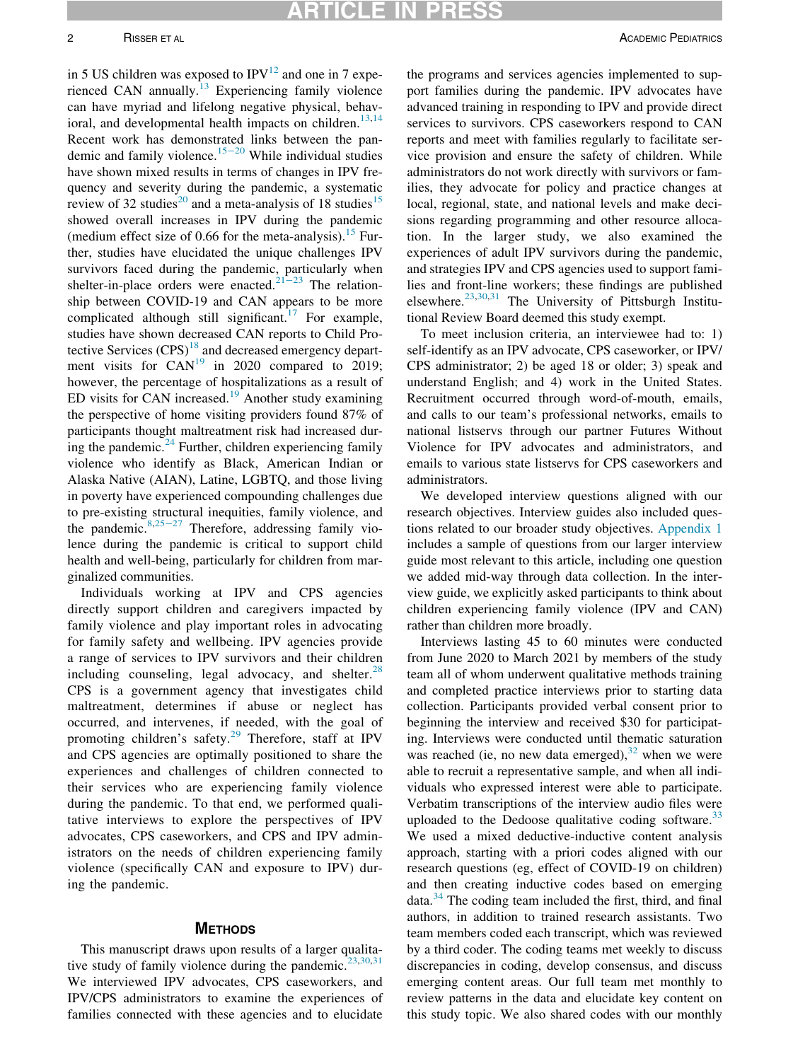in 5 US children was exposed to  $IPV<sup>12</sup>$  $IPV<sup>12</sup>$  $IPV<sup>12</sup>$  and one in 7 expe-rienced CAN annually.<sup>[13](#page-6-6)</sup> Experiencing family violence can have myriad and lifelong negative physical, behav-ioral, and developmental health impacts on children.<sup>[13](#page-6-6),[14](#page-6-7)</sup> Recent work has demonstrated links between the pandemic and family violence.[15](#page-6-8)−<sup>20</sup> While individual studies have shown mixed results in terms of changes in IPV frequency and severity during the pandemic, a systematic review of 32 studies<sup>[20](#page-6-9)</sup> and a meta-analysis of 18 studies<sup>[15](#page-6-8)</sup> showed overall increases in IPV during the pandemic (medium effect size of 0.66 for the meta-analysis).<sup>[15](#page-6-8)</sup> Further, studies have elucidated the unique challenges IPV survivors faced during the pandemic, particularly when shelter-in-place orders were enacted.[21](#page-6-10)−<sup>23</sup> The relationship between COVID-19 and CAN appears to be more complicated although still significant.<sup>[17](#page-6-11)</sup> For example, studies have shown decreased CAN reports to Child Protective Services  $(CPS)^{18}$  and decreased emergency depart-ment visits for CAN<sup>[19](#page-6-13)</sup> in 2020 compared to 2019; however, the percentage of hospitalizations as a result of ED visits for CAN increased.<sup>[19](#page-6-13)</sup> Another study examining the perspective of home visiting providers found 87% of participants thought maltreatment risk had increased during the pandemic. $^{24}$  $^{24}$  $^{24}$  Further, children experiencing family violence who identify as Black, American Indian or Alaska Native (AIAN), Latine, LGBTQ, and those living in poverty have experienced compounding challenges due to pre-existing structural inequities, family violence, and the pandemic. $8,25-27$  $8,25-27$  $8,25-27$  Therefore, addressing family violence during the pandemic is critical to support child health and well-being, particularly for children from marginalized communities.

Individuals working at IPV and CPS agencies directly support children and caregivers impacted by family violence and play important roles in advocating for family safety and wellbeing. IPV agencies provide a range of services to IPV survivors and their children including counseling, legal advocacy, and shelter. $^{28}$  $^{28}$  $^{28}$ CPS is a government agency that investigates child maltreatment, determines if abuse or neglect has occurred, and intervenes, if needed, with the goal of promoting children's safety.<sup>[29](#page-6-18)</sup> Therefore, staff at IPV and CPS agencies are optimally positioned to share the experiences and challenges of children connected to their services who are experiencing family violence during the pandemic. To that end, we performed qualitative interviews to explore the perspectives of IPV advocates, CPS caseworkers, and CPS and IPV administrators on the needs of children experiencing family violence (specifically CAN and exposure to IPV) during the pandemic.

#### **METHODS**

This manuscript draws upon results of a larger qualita-tive study of family violence during the pandemic.<sup>[23,](#page-6-19)[30](#page-6-20),[31](#page-6-21)</sup> We interviewed IPV advocates, CPS caseworkers, and IPV/CPS administrators to examine the experiences of families connected with these agencies and to elucidate

the programs and services agencies implemented to support families during the pandemic. IPV advocates have advanced training in responding to IPV and provide direct services to survivors. CPS caseworkers respond to CAN reports and meet with families regularly to facilitate service provision and ensure the safety of children. While administrators do not work directly with survivors or families, they advocate for policy and practice changes at local, regional, state, and national levels and make decisions regarding programming and other resource allocation. In the larger study, we also examined the experiences of adult IPV survivors during the pandemic, and strategies IPV and CPS agencies used to support families and front-line workers; these findings are published elsewhere.<sup>[23](#page-6-19)[,30](#page-6-20)[,31](#page-6-21)</sup> The University of Pittsburgh Institutional Review Board deemed this study exempt.

To meet inclusion criteria, an interviewee had to: 1) self-identify as an IPV advocate, CPS caseworker, or IPV/ CPS administrator; 2) be aged 18 or older; 3) speak and understand English; and 4) work in the United States. Recruitment occurred through word-of-mouth, emails, and calls to our team's professional networks, emails to national listservs through our partner Futures Without Violence for IPV advocates and administrators, and emails to various state listservs for CPS caseworkers and administrators.

We developed interview questions aligned with our research objectives. Interview guides also included questions related to our broader study objectives. [Appendix 1](#page-6-22) includes a sample of questions from our larger interview guide most relevant to this article, including one question we added mid-way through data collection. In the interview guide, we explicitly asked participants to think about children experiencing family violence (IPV and CAN) rather than children more broadly.

Interviews lasting 45 to 60 minutes were conducted from June 2020 to March 2021 by members of the study team all of whom underwent qualitative methods training and completed practice interviews prior to starting data collection. Participants provided verbal consent prior to beginning the interview and received \$30 for participating. Interviews were conducted until thematic saturation was reached (ie, no new data emerged), $32$  when we were able to recruit a representative sample, and when all individuals who expressed interest were able to participate. Verbatim transcriptions of the interview audio files were uploaded to the Dedoose qualitative coding software.<sup>[33](#page-6-24)</sup> We used a mixed deductive-inductive content analysis approach, starting with a priori codes aligned with our research questions (eg, effect of COVID-19 on children) and then creating inductive codes based on emerging  $data<sup>34</sup>$  $data<sup>34</sup>$  $data<sup>34</sup>$ . The coding team included the first, third, and final authors, in addition to trained research assistants. Two team members coded each transcript, which was reviewed by a third coder. The coding teams met weekly to discuss discrepancies in coding, develop consensus, and discuss emerging content areas. Our full team met monthly to review patterns in the data and elucidate key content on this study topic. We also shared codes with our monthly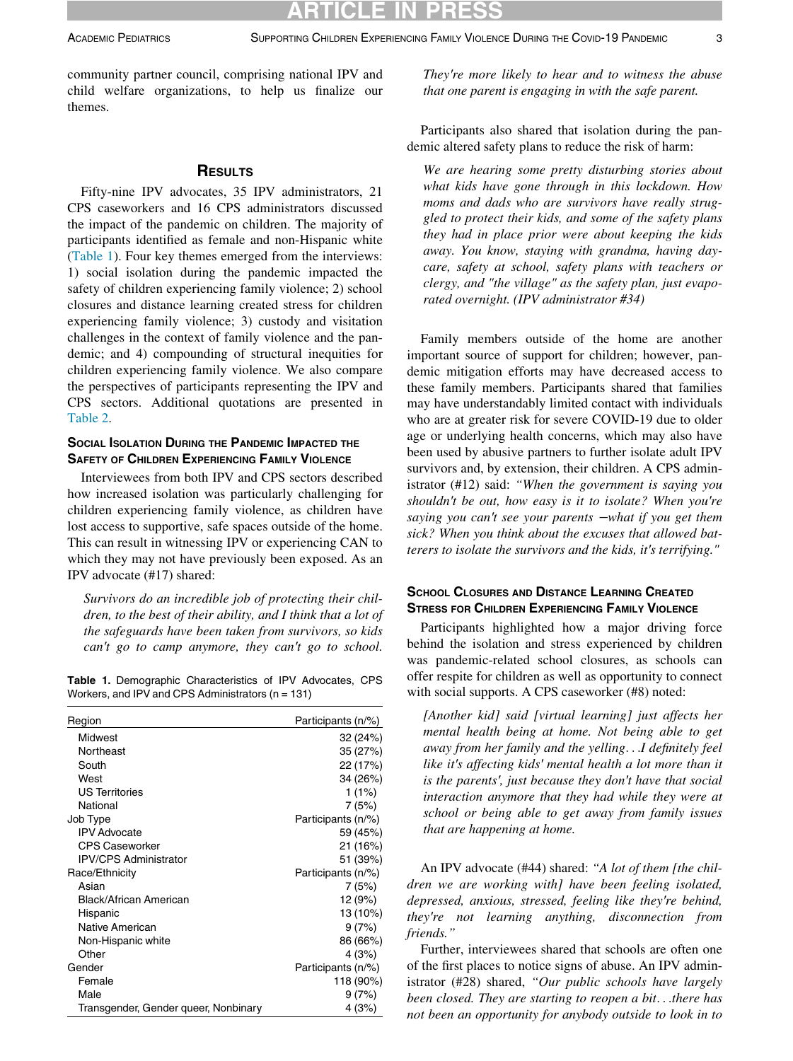**CLE IN** 

community partner council, comprising national IPV and child welfare organizations, to help us finalize our themes.

#### **RESULTS**

Fifty-nine IPV advocates, 35 IPV administrators, 21 CPS caseworkers and 16 CPS administrators discussed the impact of the pandemic on children. The majority of participants identified as female and non-Hispanic white [\(Table 1\)](#page-2-0). Four key themes emerged from the interviews: 1) social isolation during the pandemic impacted the safety of children experiencing family violence; 2) school closures and distance learning created stress for children experiencing family violence; 3) custody and visitation challenges in the context of family violence and the pandemic; and 4) compounding of structural inequities for children experiencing family violence. We also compare the perspectives of participants representing the IPV and CPS sectors. Additional quotations are presented in [Table 2.](#page-3-0)

### SOCIAL ISOLATION DURING THE PANDEMIC IMPACTED THE SAFETY OF CHILDREN EXPERIENCING FAMILY VIOLENCE

Interviewees from both IPV and CPS sectors described how increased isolation was particularly challenging for children experiencing family violence, as children have lost access to supportive, safe spaces outside of the home. This can result in witnessing IPV or experiencing CAN to which they may not have previously been exposed. As an IPV advocate (#17) shared:

Survivors do an incredible job of protecting their children, to the best of their ability, and I think that a lot of the safeguards have been taken from survivors, so kids can't go to camp anymore, they can't go to school.

<span id="page-2-0"></span>Table 1. Demographic Characteristics of IPV Advocates, CPS Workers, and IPV and CPS Administrators (n = 131)

| Region                               | Participants (n/%) |
|--------------------------------------|--------------------|
| Midwest                              | 32 (24%)           |
| Northeast                            | 35 (27%)           |
| South                                | 22 (17%)           |
| West                                 | 34 (26%)           |
| <b>US Territories</b>                | 1 (1%)             |
| National                             | 7 (5%)             |
| Job Type                             | Participants (n/%) |
| <b>IPV Advocate</b>                  | 59 (45%)           |
| <b>CPS Caseworker</b>                | 21 (16%)           |
| <b>IPV/CPS Administrator</b>         | 51 (39%)           |
| Race/Ethnicity                       | Participants (n/%) |
| Asian                                | 7(5%)              |
| Black/African American               | 12 (9%)            |
| Hispanic                             | 13 (10%)           |
| Native American                      | 9 (7%)             |
| Non-Hispanic white                   | 86 (66%)           |
| Other                                | 4 (3%)             |
| Gender                               | Participants (n/%) |
| Female                               | 118 (90%)          |
| Male                                 | 9(7%)              |
| Transgender, Gender queer, Nonbinary | 4 (3%)             |

They're more likely to hear and to witness the abuse that one parent is engaging in with the safe parent.

Participants also shared that isolation during the pandemic altered safety plans to reduce the risk of harm:

We are hearing some pretty disturbing stories about what kids have gone through in this lockdown. How moms and dads who are survivors have really struggled to protect their kids, and some of the safety plans they had in place prior were about keeping the kids away. You know, staying with grandma, having daycare, safety at school, safety plans with teachers or clergy, and "the village" as the safety plan, just evaporated overnight. (IPV administrator #34)

Family members outside of the home are another important source of support for children; however, pandemic mitigation efforts may have decreased access to these family members. Participants shared that families may have understandably limited contact with individuals who are at greater risk for severe COVID-19 due to older age or underlying health concerns, which may also have been used by abusive partners to further isolate adult IPV survivors and, by extension, their children. A CPS administrator (#12) said: "When the government is saying you shouldn't be out, how easy is it to isolate? When you're saying you can't see your parents –what if you get them sick? When you think about the excuses that allowed batterers to isolate the survivors and the kids, it's terrifying."

#### SCHOOL CLOSURES AND DISTANCE LEARNING CREATED STRESS FOR CHILDREN EXPERIENCING FAMILY VIOLENCE

Participants highlighted how a major driving force behind the isolation and stress experienced by children was pandemic-related school closures, as schools can offer respite for children as well as opportunity to connect with social supports. A CPS caseworker (#8) noted:

[Another kid] said [virtual learning] just affects her mental health being at home. Not being able to get away from her family and the yelling...I definitely feel like it's affecting kids' mental health a lot more than it is the parents', just because they don't have that social interaction anymore that they had while they were at school or being able to get away from family issues that are happening at home.

An IPV advocate (#44) shared: "A lot of them [the children we are working with] have been feeling isolated, depressed, anxious, stressed, feeling like they're behind, they're not learning anything, disconnection from friends."

Further, interviewees shared that schools are often one of the first places to notice signs of abuse. An IPV administrator (#28) shared, "Our public schools have largely been closed. They are starting to reopen a bit...there has not been an opportunity for anybody outside to look in to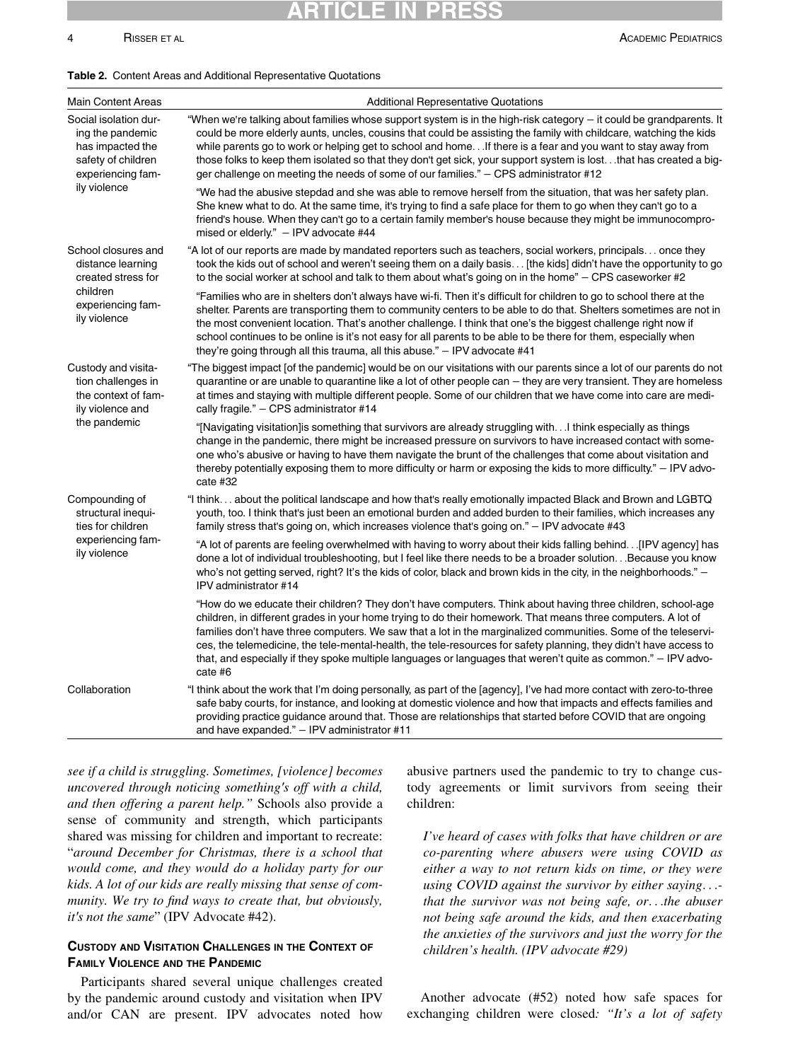### ARTICLE IN PRESS

4 **RISSER ET AL** ACADEMIC PEDIATRICS **ACADEMIC PEDIATRICS** 

#### <span id="page-3-0"></span>Table 2. Content Areas and Additional Representative Quotations

| <b>Main Content Areas</b>                                                                                                | <b>Additional Representative Quotations</b>                                                                                                                                                                                                                                                                                                                                                                                                                                                                                                                                                      |
|--------------------------------------------------------------------------------------------------------------------------|--------------------------------------------------------------------------------------------------------------------------------------------------------------------------------------------------------------------------------------------------------------------------------------------------------------------------------------------------------------------------------------------------------------------------------------------------------------------------------------------------------------------------------------------------------------------------------------------------|
| Social isolation dur-<br>ing the pandemic<br>has impacted the<br>safety of children<br>experiencing fam-<br>ily violence | "When we're talking about families whose support system is in the high-risk category - it could be grandparents. It<br>could be more elderly aunts, uncles, cousins that could be assisting the family with childcare, watching the kids<br>while parents go to work or helping get to school and home. . If there is a fear and you want to stay away from<br>those folks to keep them isolated so that they don't get sick, your support system is lostthat has created a big-<br>ger challenge on meeting the needs of some of our families." – CPS administrator #12                         |
|                                                                                                                          | "We had the abusive stepdad and she was able to remove herself from the situation, that was her safety plan.<br>She knew what to do. At the same time, it's trying to find a safe place for them to go when they can't go to a<br>friend's house. When they can't go to a certain family member's house because they might be immunocompro-<br>mised or elderly." - IPV advocate #44                                                                                                                                                                                                             |
| School closures and<br>distance learning<br>created stress for<br>children<br>experiencing fam-<br>ily violence          | "A lot of our reports are made by mandated reporters such as teachers, social workers, principals once they<br>took the kids out of school and weren't seeing them on a daily basis [the kids] didn't have the opportunity to go<br>to the social worker at school and talk to them about what's going on in the home" $-$ CPS caseworker #2                                                                                                                                                                                                                                                     |
|                                                                                                                          | "Families who are in shelters don't always have wi-fi. Then it's difficult for children to go to school there at the<br>shelter. Parents are transporting them to community centers to be able to do that. Shelters sometimes are not in<br>the most convenient location. That's another challenge. I think that one's the biggest challenge right now if<br>school continues to be online is it's not easy for all parents to be able to be there for them, especially when<br>they're going through all this trauma, all this abuse." $-$ IPV advocate #41                                     |
| Custody and visita-<br>tion challenges in<br>the context of fam-<br>ily violence and<br>the pandemic                     | "The biggest impact [of the pandemic] would be on our visitations with our parents since a lot of our parents do not<br>quarantine or are unable to quarantine like a lot of other people can – they are very transient. They are homeless<br>at times and staying with multiple different people. Some of our children that we have come into care are medi-<br>cally fragile." - CPS administrator #14                                                                                                                                                                                         |
|                                                                                                                          | "[Navigating visitation]is something that survivors are already struggling with.I think especially as things<br>change in the pandemic, there might be increased pressure on survivors to have increased contact with some-<br>one who's abusive or having to have them navigate the brunt of the challenges that come about visitation and<br>thereby potentially exposing them to more difficulty or harm or exposing the kids to more difficulty." - IPV advo-<br>cate #32                                                                                                                    |
| Compounding of<br>structural inequi-<br>ties for children<br>experiencing fam-<br>ily violence                           | "I think about the political landscape and how that's really emotionally impacted Black and Brown and LGBTQ<br>youth, too. I think that's just been an emotional burden and added burden to their families, which increases any<br>family stress that's going on, which increases violence that's going on." - IPV advocate #43                                                                                                                                                                                                                                                                  |
|                                                                                                                          | "A lot of parents are feeling overwhelmed with having to worry about their kids falling behind…[IPV agency] has<br>done a lot of individual troubleshooting, but I feel like there needs to be a broader solution.Because you know<br>who's not getting served, right? It's the kids of color, black and brown kids in the city, in the neighborhoods." -<br>IPV administrator #14                                                                                                                                                                                                               |
|                                                                                                                          | "How do we educate their children? They don't have computers. Think about having three children, school-age<br>children, in different grades in your home trying to do their homework. That means three computers. A lot of<br>families don't have three computers. We saw that a lot in the marginalized communities. Some of the teleservi-<br>ces, the telemedicine, the tele-mental-health, the tele-resources for safety planning, they didn't have access to<br>that, and especially if they spoke multiple languages or languages that weren't quite as common." $-$ IPV advo-<br>cate #6 |
| Collaboration                                                                                                            | "I think about the work that I'm doing personally, as part of the [agency], I've had more contact with zero-to-three<br>safe baby courts, for instance, and looking at domestic violence and how that impacts and effects families and<br>providing practice guidance around that. Those are relationships that started before COVID that are ongoing<br>and have expanded." $-$ IPV administrator #11                                                                                                                                                                                           |

see if a child is struggling. Sometimes, [violence] becomes uncovered through noticing something's off with a child, and then offering a parent help." Schools also provide a sense of community and strength, which participants shared was missing for children and important to recreate: "around December for Christmas, there is a school that would come, and they would do a holiday party for our kids. A lot of our kids are really missing that sense of community. We try to find ways to create that, but obviously, it's not the same" (IPV Advocate #42).

#### CUSTODY AND VISITATION CHALLENGES IN THE CONTEXT OF FAMILY VIOLENCE AND THE PANDEMIC

Participants shared several unique challenges created by the pandemic around custody and visitation when IPV and/or CAN are present. IPV advocates noted how

abusive partners used the pandemic to try to change custody agreements or limit survivors from seeing their children:

I've heard of cases with folks that have children or are co-parenting where abusers were using COVID as either a way to not return kids on time, or they were using COVID against the survivor by either saying... that the survivor was not being safe, or...the abuser not being safe around the kids, and then exacerbating the anxieties of the survivors and just the worry for the children's health. (IPV advocate #29)

Another advocate (#52) noted how safe spaces for exchanging children were closed: "It's a lot of safety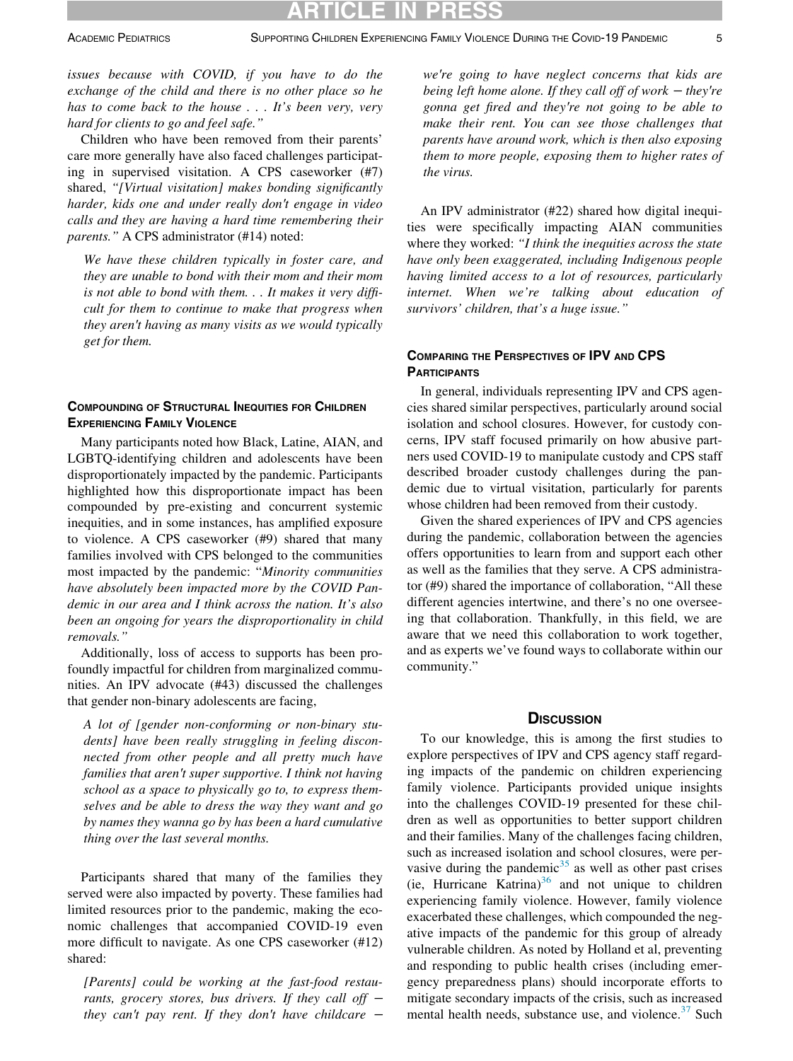issues because with COVID, if you have to do the exchange of the child and there is no other place so he has to come back to the house . . . It's been very, very hard for clients to go and feel safe."

Children who have been removed from their parents' care more generally have also faced challenges participating in supervised visitation. A CPS caseworker (#7) shared, "[Virtual visitation] makes bonding significantly harder, kids one and under really don't engage in video calls and they are having a hard time remembering their parents." A CPS administrator (#14) noted:

We have these children typically in foster care, and they are unable to bond with their mom and their mom is not able to bond with them. . . It makes it very difficult for them to continue to make that progress when they aren't having as many visits as we would typically get for them.

#### COMPOUNDING OF STRUCTURAL INEQUITIES FOR CHILDREN EXPERIENCING FAMILY VIOLENCE

Many participants noted how Black, Latine, AIAN, and LGBTQ-identifying children and adolescents have been disproportionately impacted by the pandemic. Participants highlighted how this disproportionate impact has been compounded by pre-existing and concurrent systemic inequities, and in some instances, has amplified exposure to violence. A CPS caseworker (#9) shared that many families involved with CPS belonged to the communities most impacted by the pandemic: "Minority communities have absolutely been impacted more by the COVID Pandemic in our area and I think across the nation. It's also been an ongoing for years the disproportionality in child removals."

Additionally, loss of access to supports has been profoundly impactful for children from marginalized communities. An IPV advocate (#43) discussed the challenges that gender non-binary adolescents are facing,

A lot of [gender non-conforming or non-binary students] have been really struggling in feeling disconnected from other people and all pretty much have families that aren't super supportive. I think not having school as a space to physically go to, to express themselves and be able to dress the way they want and go by names they wanna go by has been a hard cumulative thing over the last several months.

Participants shared that many of the families they served were also impacted by poverty. These families had limited resources prior to the pandemic, making the economic challenges that accompanied COVID-19 even more difficult to navigate. As one CPS caseworker (#12) shared:

[Parents] could be working at the fast-food restaurants, grocery stores, bus drivers. If they call off  $$ they can't pay rent. If they don't have childcare  $-$ 

we're going to have neglect concerns that kids are being left home alone. If they call off of work  $-$  they're gonna get fired and they're not going to be able to make their rent. You can see those challenges that parents have around work, which is then also exposing them to more people, exposing them to higher rates of the virus.

An IPV administrator (#22) shared how digital inequities were specifically impacting AIAN communities where they worked: "I think the inequities across the state have only been exaggerated, including Indigenous people having limited access to a lot of resources, particularly internet. When we're talking about education of survivors' children, that's a huge issue."

#### COMPARING THE PERSPECTIVES OF IPV AND CPS **PARTICIPANTS**

In general, individuals representing IPV and CPS agencies shared similar perspectives, particularly around social isolation and school closures. However, for custody concerns, IPV staff focused primarily on how abusive partners used COVID-19 to manipulate custody and CPS staff described broader custody challenges during the pandemic due to virtual visitation, particularly for parents whose children had been removed from their custody.

Given the shared experiences of IPV and CPS agencies during the pandemic, collaboration between the agencies offers opportunities to learn from and support each other as well as the families that they serve. A CPS administrator (#9) shared the importance of collaboration, "All these different agencies intertwine, and there's no one overseeing that collaboration. Thankfully, in this field, we are aware that we need this collaboration to work together, and as experts we've found ways to collaborate within our community."

#### **DISCUSSION**

To our knowledge, this is among the first studies to explore perspectives of IPV and CPS agency staff regarding impacts of the pandemic on children experiencing family violence. Participants provided unique insights into the challenges COVID-19 presented for these children as well as opportunities to better support children and their families. Many of the challenges facing children, such as increased isolation and school closures, were pervasive during the pandemic $35$  as well as other past crises (ie, Hurricane Katrina) $36$  and not unique to children experiencing family violence. However, family violence exacerbated these challenges, which compounded the negative impacts of the pandemic for this group of already vulnerable children. As noted by Holland et al, preventing and responding to public health crises (including emergency preparedness plans) should incorporate efforts to mitigate secondary impacts of the crisis, such as increased mental health needs, substance use, and violence.<sup>[37](#page-7-2)</sup> Such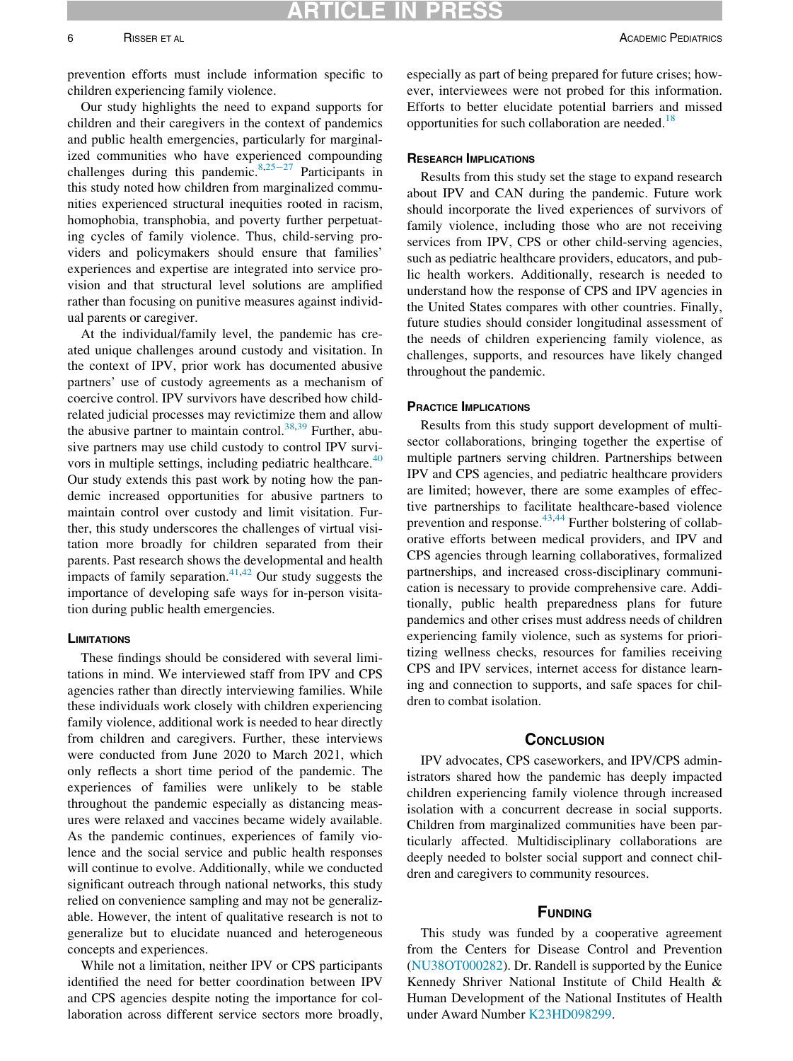## ARTICLE IN PR

prevention efforts must include information specific to children experiencing family violence.

Our study highlights the need to expand supports for children and their caregivers in the context of pandemics and public health emergencies, particularly for marginalized communities who have experienced compounding challenges during this pandemic.[8](#page-6-15),[25](#page-6-16)−<sup>27</sup> Participants in this study noted how children from marginalized communities experienced structural inequities rooted in racism, homophobia, transphobia, and poverty further perpetuating cycles of family violence. Thus, child-serving providers and policymakers should ensure that families' experiences and expertise are integrated into service provision and that structural level solutions are amplified rather than focusing on punitive measures against individual parents or caregiver.

At the individual/family level, the pandemic has created unique challenges around custody and visitation. In the context of IPV, prior work has documented abusive partners' use of custody agreements as a mechanism of coercive control. IPV survivors have described how childrelated judicial processes may revictimize them and allow the abusive partner to maintain control.<sup>[38](#page-7-3)[,39](#page-7-4)</sup> Further, abusive partners may use child custody to control IPV survi-vors in multiple settings, including pediatric healthcare.<sup>[40](#page-7-5)</sup> Our study extends this past work by noting how the pandemic increased opportunities for abusive partners to maintain control over custody and limit visitation. Further, this study underscores the challenges of virtual visitation more broadly for children separated from their parents. Past research shows the developmental and health impacts of family separation. $41,42$  $41,42$  Our study suggests the importance of developing safe ways for in-person visitation during public health emergencies.

#### **LIMITATIONS**

These findings should be considered with several limitations in mind. We interviewed staff from IPV and CPS agencies rather than directly interviewing families. While these individuals work closely with children experiencing family violence, additional work is needed to hear directly from children and caregivers. Further, these interviews were conducted from June 2020 to March 2021, which only reflects a short time period of the pandemic. The experiences of families were unlikely to be stable throughout the pandemic especially as distancing measures were relaxed and vaccines became widely available. As the pandemic continues, experiences of family violence and the social service and public health responses will continue to evolve. Additionally, while we conducted significant outreach through national networks, this study relied on convenience sampling and may not be generalizable. However, the intent of qualitative research is not to generalize but to elucidate nuanced and heterogeneous concepts and experiences.

<span id="page-5-1"></span><span id="page-5-0"></span>While not a limitation, neither IPV or CPS participants identified the need for better coordination between IPV and CPS agencies despite noting the importance for collaboration across different service sectors more broadly, especially as part of being prepared for future crises; however, interviewees were not probed for this information. Efforts to better elucidate potential barriers and missed opportunities for such collaboration are needed.<sup>[18](#page-6-12)</sup>

#### RESEARCH IMPLICATIONS

Results from this study set the stage to expand research about IPV and CAN during the pandemic. Future work should incorporate the lived experiences of survivors of family violence, including those who are not receiving services from IPV, CPS or other child-serving agencies, such as pediatric healthcare providers, educators, and public health workers. Additionally, research is needed to understand how the response of CPS and IPV agencies in the United States compares with other countries. Finally, future studies should consider longitudinal assessment of the needs of children experiencing family violence, as challenges, supports, and resources have likely changed throughout the pandemic.

#### PRACTICE IMPLICATIONS

Results from this study support development of multisector collaborations, bringing together the expertise of multiple partners serving children. Partnerships between IPV and CPS agencies, and pediatric healthcare providers are limited; however, there are some examples of effective partnerships to facilitate healthcare-based violence prevention and response.<sup>[43,](#page-7-8)[44](#page-7-9)</sup> Further bolstering of collaborative efforts between medical providers, and IPV and CPS agencies through learning collaboratives, formalized partnerships, and increased cross-disciplinary communication is necessary to provide comprehensive care. Additionally, public health preparedness plans for future pandemics and other crises must address needs of children experiencing family violence, such as systems for prioritizing wellness checks, resources for families receiving CPS and IPV services, internet access for distance learning and connection to supports, and safe spaces for children to combat isolation.

#### **CONCLUSION**

IPV advocates, CPS caseworkers, and IPV/CPS administrators shared how the pandemic has deeply impacted children experiencing family violence through increased isolation with a concurrent decrease in social supports. Children from marginalized communities have been particularly affected. Multidisciplinary collaborations are deeply needed to bolster social support and connect children and caregivers to community resources.

#### **FUNDING**

This study was funded by a cooperative agreement from the Centers for Disease Control and Prevention ([NU38OT000282](#page-5-0)). Dr. Randell is supported by the Eunice Kennedy Shriver National Institute of Child Health & Human Development of the National Institutes of Health under Award Number [K23HD098299](#page-5-1).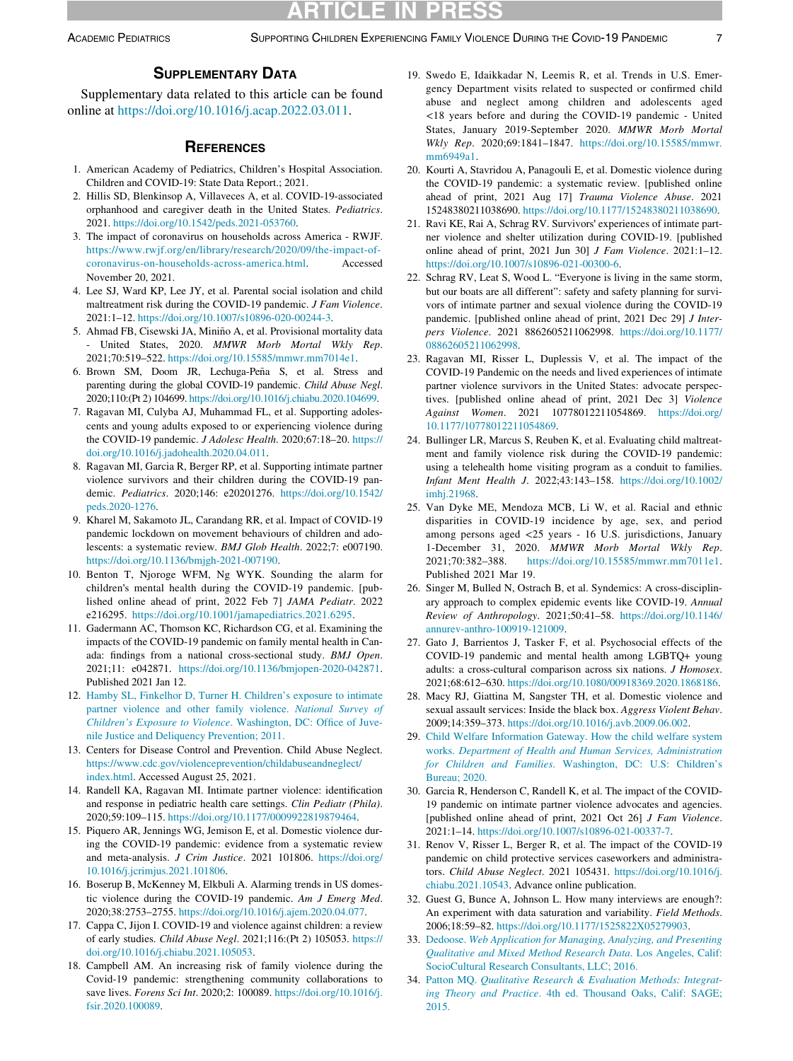#### SUPPLEMENTARY DATA

<span id="page-6-22"></span><span id="page-6-13"></span>Supplementary data related to this article can be found online at <https://doi.org/10.1016/j.acap.2022.03.011>.

#### **REFERENCES**

- <span id="page-6-9"></span><span id="page-6-0"></span>1. American Academy of Pediatrics, Children's Hospital Association. Children and COVID-19: State Data Report.; 2021.
- 2. Hillis SD, Blenkinsop A, Villaveces A, et al. COVID-19-associated orphanhood and caregiver death in the United States. Pediatrics. 2021. <https://doi.org/10.1542/peds.2021-053760>.
- <span id="page-6-10"></span><span id="page-6-2"></span>3. The impact of coronavirus on households across America - RWJF. [https://www.rwjf.org/en/library/research/2020/09/the-impact-of](https://www.rwjf.org/en/library/research/2020/09/the-impact-of-coronavirus-on-households-across-america.html)[coronavirus-on-households-across-america.html.](https://www.rwjf.org/en/library/research/2020/09/the-impact-of-coronavirus-on-households-across-america.html) Accessed November 20, 2021.
- <span id="page-6-3"></span>4. Lee SJ, Ward KP, Lee JY, et al. Parental social isolation and child maltreatment risk during the COVID-19 pandemic. J Fam Violence. 2021:1–12. <https://doi.org/10.1007/s10896-020-00244-3>.
- <span id="page-6-1"></span>5. Ahmad FB, Cisewski JA, Miniño A, et al. Provisional mortality data United States, 2020. MMWR Morb Mortal Wkly Rep. 2021;70:519–522. <https://doi.org/10.15585/mmwr.mm7014e1>.
- <span id="page-6-19"></span><span id="page-6-4"></span>6. Brown SM, Doom JR, Lechuga-Peña S, et al. Stress and parenting during the global COVID-19 pandemic. Child Abuse Negl. 2020;110:(Pt 2) 104699. [https://doi.org/10.1016/j.chiabu.2020.104699.](https://doi.org/10.1016/j.chiabu.2020.104699)
- <span id="page-6-14"></span>7. Ragavan MI, Culyba AJ, Muhammad FL, et al. Supporting adolescents and young adults exposed to or experiencing violence during the COVID-19 pandemic. J Adolesc Health. 2020;67:18–20. [https://](https://doi.org/10.1016/j.jadohealth.2020.04.011) [doi.org/10.1016/j.jadohealth.2020.04.011](https://doi.org/10.1016/j.jadohealth.2020.04.011).
- <span id="page-6-15"></span>8. Ragavan MI, Garcia R, Berger RP, et al. Supporting intimate partner violence survivors and their children during the COVID-19 pandemic. Pediatrics. 2020;146: e20201276. [https://doi.org/10.1542/](https://doi.org/10.1542/peds.2020-1276) [peds.2020-1276.](https://doi.org/10.1542/peds.2020-1276)
- <span id="page-6-16"></span>9. Kharel M, Sakamoto JL, Carandang RR, et al. Impact of COVID-19 pandemic lockdown on movement behaviours of children and adolescents: a systematic review. BMJ Glob Health. 2022;7: e007190. [https://doi.org/10.1136/bmjgh-2021-007190.](https://doi.org/10.1136/bmjgh-2021-007190)
- 10. Benton T, Njoroge WFM, Ng WYK. Sounding the alarm for children's mental health during the COVID-19 pandemic. [published online ahead of print, 2022 Feb 7] JAMA Pediatr. 2022 e216295. [https://doi.org/10.1001/jamapediatrics.2021.6295.](https://doi.org/10.1001/jamapediatrics.2021.6295)
- 11. Gadermann AC, Thomson KC, Richardson CG, et al. Examining the impacts of the COVID-19 pandemic on family mental health in Canada: findings from a national cross-sectional study. BMJ Open. 2021;11: e042871. <https://doi.org/10.1136/bmjopen-2020-042871>. Published 2021 Jan 12.
- <span id="page-6-17"></span><span id="page-6-5"></span>12. [Hamby SL, Finkelhor D, Turner H. Children's exposure to intimate](http://refhub.elsevier.com/S1876-2859(22)00178-4/sbref0012) [partner violence and other family violence.](http://refhub.elsevier.com/S1876-2859(22)00178-4/sbref0012) National Survey of [Children](http://refhub.elsevier.com/S1876-2859(22)00178-4/sbref0012)'s Exposure to Violence[. Washington, DC: Office of Juve](http://refhub.elsevier.com/S1876-2859(22)00178-4/sbref0012)[nile Justice and Deliquency Prevention; 2011.](http://refhub.elsevier.com/S1876-2859(22)00178-4/sbref0012)
- <span id="page-6-18"></span><span id="page-6-6"></span>13. Centers for Disease Control and Prevention. Child Abuse Neglect. [https://www.cdc.gov/violenceprevention/childabuseandneglect/](https://www.cdc.gov/violenceprevention/childabuseandneglect/index.html) [index.html](https://www.cdc.gov/violenceprevention/childabuseandneglect/index.html). Accessed August 25, 2021.
- <span id="page-6-20"></span><span id="page-6-7"></span>14. Randell KA, Ragavan MI. Intimate partner violence: identification and response in pediatric health care settings. Clin Pediatr (Phila). 2020;59:109–115. <https://doi.org/10.1177/0009922819879464>.
- <span id="page-6-21"></span><span id="page-6-8"></span>15. Piquero AR, Jennings WG, Jemison E, et al. Domestic violence during the COVID-19 pandemic: evidence from a systematic review and meta-analysis. J Crim Justice. 2021 101806. [https://doi.org/](https://doi.org/10.1016/j.jcrimjus.2021.101806) [10.1016/j.jcrimjus.2021.101806](https://doi.org/10.1016/j.jcrimjus.2021.101806).
- <span id="page-6-23"></span>16. Boserup B, McKenney M, Elkbuli A. Alarming trends in US domestic violence during the COVID-19 pandemic. Am J Emerg Med. 2020;38:2753–2755. <https://doi.org/10.1016/j.ajem.2020.04.077>.
- <span id="page-6-24"></span><span id="page-6-11"></span>17. Cappa C, Jijon I. COVID-19 and violence against children: a review of early studies. Child Abuse Negl. 2021;116:(Pt 2) 105053. [https://](https://doi.org/10.1016/j.chiabu.2021.105053) [doi.org/10.1016/j.chiabu.2021.105053](https://doi.org/10.1016/j.chiabu.2021.105053).
- <span id="page-6-25"></span><span id="page-6-12"></span>18. Campbell AM. An increasing risk of family violence during the Covid-19 pandemic: strengthening community collaborations to save lives. Forens Sci Int. 2020;2: 100089. [https://doi.org/10.1016/j.](https://doi.org/10.1016/j.fsir.2020.100089) [fsir.2020.100089](https://doi.org/10.1016/j.fsir.2020.100089).
- 19. Swedo E, Idaikkadar N, Leemis R, et al. Trends in U.S. Emergency Department visits related to suspected or confirmed child abuse and neglect among children and adolescents aged <18 years before and during the COVID-19 pandemic - United States, January 2019-September 2020. MMWR Morb Mortal Wkly Rep. 2020;69:1841–1847. [https://doi.org/10.15585/mmwr.](https://doi.org/10.15585/mmwr.mm6949a1) [mm6949a1](https://doi.org/10.15585/mmwr.mm6949a1).
- 20. Kourti A, Stavridou A, Panagouli E, et al. Domestic violence during the COVID-19 pandemic: a systematic review. [published online ahead of print, 2021 Aug 17] Trauma Violence Abuse. 2021 15248380211038690. <https://doi.org/10.1177/15248380211038690>.
- 21. Ravi KE, Rai A, Schrag RV. Survivors' experiences of intimate partner violence and shelter utilization during COVID-19. [published online ahead of print, 2021 Jun 30] J Fam Violence. 2021:1–12. [https://doi.org/10.1007/s10896-021-00300-6.](https://doi.org/10.1007/s10896-021-00300-6)
- 22. Schrag RV, Leat S, Wood L. "Everyone is living in the same storm, but our boats are all different": safety and safety planning for survivors of intimate partner and sexual violence during the COVID-19 pandemic. [published online ahead of print, 2021 Dec 29] J Interpers Violence. 2021 8862605211062998. [https://doi.org/10.1177/](https://doi.org/10.1177/08862605211062998) [08862605211062998](https://doi.org/10.1177/08862605211062998).
- 23. Ragavan MI, Risser L, Duplessis V, et al. The impact of the COVID-19 Pandemic on the needs and lived experiences of intimate partner violence survivors in the United States: advocate perspectives. [published online ahead of print, 2021 Dec 3] Violence Against Women. 2021 10778012211054869. [https://doi.org/](https://doi.org/10.1177/10778012211054869) [10.1177/10778012211054869](https://doi.org/10.1177/10778012211054869).
- 24. Bullinger LR, Marcus S, Reuben K, et al. Evaluating child maltreatment and family violence risk during the COVID-19 pandemic: using a telehealth home visiting program as a conduit to families. Infant Ment Health J. 2022;43:143–158. [https://doi.org/10.1002/](https://doi.org/10.1002/imhj.21968) [imhj.21968.](https://doi.org/10.1002/imhj.21968)
- 25. Van Dyke ME, Mendoza MCB, Li W, et al. Racial and ethnic disparities in COVID-19 incidence by age, sex, and period among persons aged <25 years - 16 U.S. jurisdictions, January 1-December 31, 2020. MMWR Morb Mortal Wkly Rep. 2021;70:382–388. [https://doi.org/10.15585/mmwr.mm7011e1.](https://doi.org/10.15585/mmwr.mm7011e1) Published 2021 Mar 19.
- 26. Singer M, Bulled N, Ostrach B, et al. Syndemics: A cross-disciplinary approach to complex epidemic events like COVID-19. Annual Review of Anthropology. 2021;50:41–58. [https://doi.org/10.1146/](https://doi.org/10.1146/annurev-anthro-100919-121009) [annurev-anthro-100919-121009](https://doi.org/10.1146/annurev-anthro-100919-121009).
- 27. Gato J, Barrientos J, Tasker F, et al. Psychosocial effects of the COVID-19 pandemic and mental health among LGBTQ+ young adults: a cross-cultural comparison across six nations. J Homosex. 2021;68:612–630. [https://doi.org/10.1080/00918369.2020.1868186.](https://doi.org/10.1080/00918369.2020.1868186)
- 28. Macy RJ, Giattina M, Sangster TH, et al. Domestic violence and sexual assault services: Inside the black box. Aggress Violent Behav. 2009;14:359–373. [https://doi.org/10.1016/j.avb.2009.06.002.](https://doi.org/10.1016/j.avb.2009.06.002)
- 29. [Child Welfare Information Gateway. How the child welfare system](http://refhub.elsevier.com/S1876-2859(22)00178-4/sbref0029) works. [Department of Health and Human Services, Administration](http://refhub.elsevier.com/S1876-2859(22)00178-4/sbref0029) for Children and Families[. Washington, DC: U.S: Children](http://refhub.elsevier.com/S1876-2859(22)00178-4/sbref0029)'[s](http://refhub.elsevier.com/S1876-2859(22)00178-4/sbref0029) [Bureau; 2020.](http://refhub.elsevier.com/S1876-2859(22)00178-4/sbref0029)
- 30. Garcia R, Henderson C, Randell K, et al. The impact of the COVID-19 pandemic on intimate partner violence advocates and agencies. [published online ahead of print, 2021 Oct 26] J Fam Violence. 2021:1–14. [https://doi.org/10.1007/s10896-021-00337-7.](https://doi.org/10.1007/s10896-021-00337-7)
- 31. Renov V, Risser L, Berger R, et al. The impact of the COVID-19 pandemic on child protective services caseworkers and administrators. Child Abuse Neglect. 2021 105431. [https://doi.org/10.1016/j.](https://doi.org/10.1016/j.chiabu.2021.10543) [chiabu.2021.10543.](https://doi.org/10.1016/j.chiabu.2021.10543) Advance online publication.
- 32. Guest G, Bunce A, Johnson L. How many interviews are enough?: An experiment with data saturation and variability. Field Methods. 2006;18:59–82. [https://doi.org/10.1177/1525822X05279903.](https://doi.org/10.1177/1525822X05279903)
- 33. Dedoose. [Web Application for Managing, Analyzing, and Presenting](http://refhub.elsevier.com/S1876-2859(22)00178-4/sbref0033) [Qualitative and Mixed Method Research Data](http://refhub.elsevier.com/S1876-2859(22)00178-4/sbref0033). Los Angeles, Calif: [SocioCultural Research Consultants, LLC; 2016.](http://refhub.elsevier.com/S1876-2859(22)00178-4/sbref0033)
- 34. Patton MQ. [Qualitative Research & Evaluation Methods: Integrat](http://refhub.elsevier.com/S1876-2859(22)00178-4/sbref0034)ing Theory and Practice[. 4th ed. Thousand Oaks, Calif: SAGE;](http://refhub.elsevier.com/S1876-2859(22)00178-4/sbref0034) [2015.](http://refhub.elsevier.com/S1876-2859(22)00178-4/sbref0034)